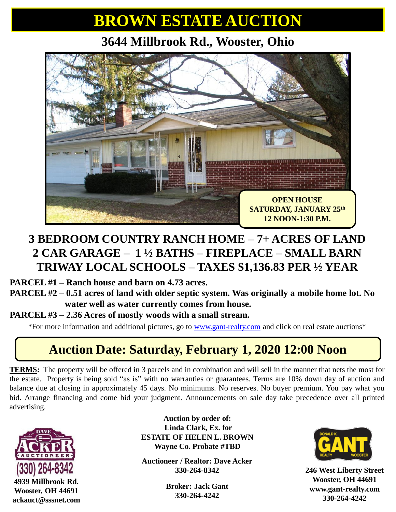## **BROWN ESTATE AUCTION**

**3644 Millbrook Rd., Wooster, Ohio**



#### **3 BEDROOM COUNTRY RANCH HOME – 7+ ACRES OF LAND 2 CAR GARAGE – 1 ½ BATHS – FIREPLACE – SMALL BARN TRIWAY LOCAL SCHOOLS – TAXES \$1,136.83 PER ½ YEAR**

**PARCEL #1 – Ranch house and barn on 4.73 acres.** 

**PARCEL #2 – 0.51 acres of land with older septic system. Was originally a mobile home lot. No water well as water currently comes from house.** 

**PARCEL #3 – 2.36 Acres of mostly woods with a small stream.** 

\*For more information and additional pictures, go to [www.gant-realty.com](http://www.gant-realty.com/) and click on real estate auctions\*

### **Auction Date: Saturday, February 1, 2020 12:00 Noon**

**TERMS:** The property will be offered in 3 parcels and in combination and will sell in the manner that nets the most for the estate. Property is being sold "as is" with no warranties or guarantees. Terms are 10% down day of auction and balance due at closing in approximately 45 days. No minimums. No reserves. No buyer premium. You pay what you bid. Arrange financing and come bid your judgment. Announcements on sale day take precedence over all printed advertising.



**4939 Millbrook Rd. Wooster, OH 44691 ackauct@sssnet.com**

**Auction by order of: Linda Clark, Ex. for ESTATE OF HELEN L. BROWN Wayne Co. Probate #TBD**

**Auctioneer / Realtor: Dave Acker 330-264-8342**

> **Broker: Jack Gant 330-264-4242**



**246 West Liberty Street Wooster, OH 44691 www.gant-realty.com 330-264-4242**